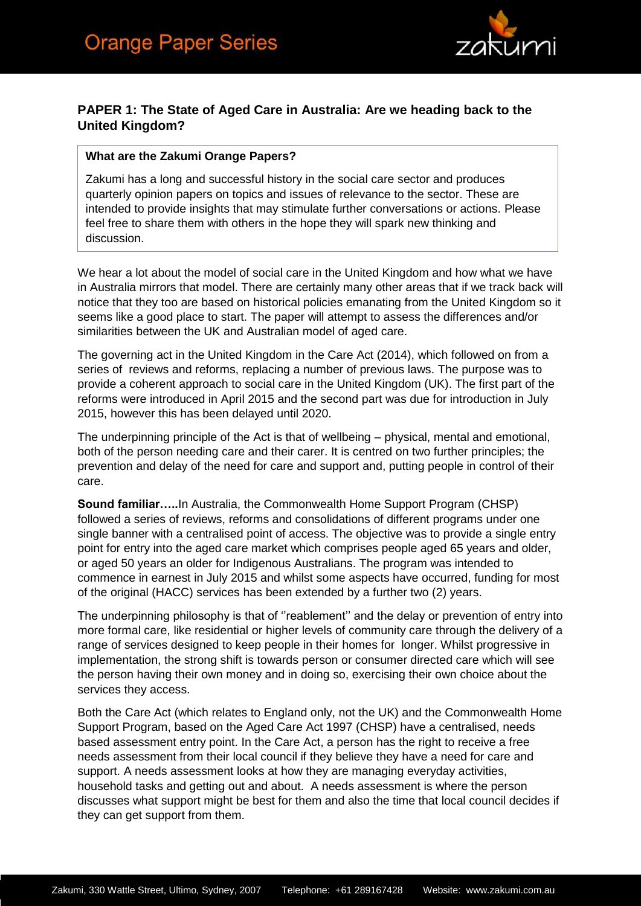

## **PAPER 1: The State of Aged Care in Australia: Are we heading back to the United Kingdom?**

### **What are the Zakumi Orange Papers?**

Zakumi has a long and successful history in the social care sector and produces quarterly opinion papers on topics and issues of relevance to the sector. These are intended to provide insights that may stimulate further conversations or actions. Please feel free to share them with others in the hope they will spark new thinking and discussion.

We hear a lot about the model of social care in the United Kingdom and how what we have in Australia mirrors that model. There are certainly many other areas that if we track back will notice that they too are based on historical policies emanating from the United Kingdom so it seems like a good place to start. The paper will attempt to assess the differences and/or similarities between the UK and Australian model of aged care.

The governing act in the United Kingdom in the Care Act (2014), which followed on from a series of reviews and reforms, replacing a number of previous laws. The purpose was to provide a coherent approach to social care in the United Kingdom (UK). The first part of the reforms were introduced in April 2015 and the second part was due for introduction in July 2015, however this has been delayed until 2020.

The underpinning principle of the Act is that of wellbeing – physical, mental and emotional, both of the person needing care and their carer. It is centred on two further principles; the prevention and delay of the need for care and support and, putting people in control of their care.

**Sound familiar…..**In Australia, the Commonwealth Home Support Program (CHSP) followed a series of reviews, reforms and consolidations of different programs under one single banner with a centralised point of access. The objective was to provide a single entry point for entry into the aged care market which comprises people aged 65 years and older, or aged 50 years an older for Indigenous Australians. The program was intended to commence in earnest in July 2015 and whilst some aspects have occurred, funding for most of the original (HACC) services has been extended by a further two (2) years.

The underpinning philosophy is that of ''reablement'' and the delay or prevention of entry into more formal care, like residential or higher levels of community care through the delivery of a range of services designed to keep people in their homes for longer. Whilst progressive in implementation, the strong shift is towards person or consumer directed care which will see the person having their own money and in doing so, exercising their own choice about the services they access.

Both the Care Act (which relates to England only, not the UK) and the Commonwealth Home Support Program, based on the Aged Care Act 1997 (CHSP) have a centralised, needs based assessment entry point. In the Care Act, a person has the right to receive a free needs assessment from their local council if they believe they have a need for care and support. A needs assessment looks at how they are managing everyday activities, household tasks and getting out and about. A needs assessment is where the person discusses what support might be best for them and also the time that local council decides if they can get support from them.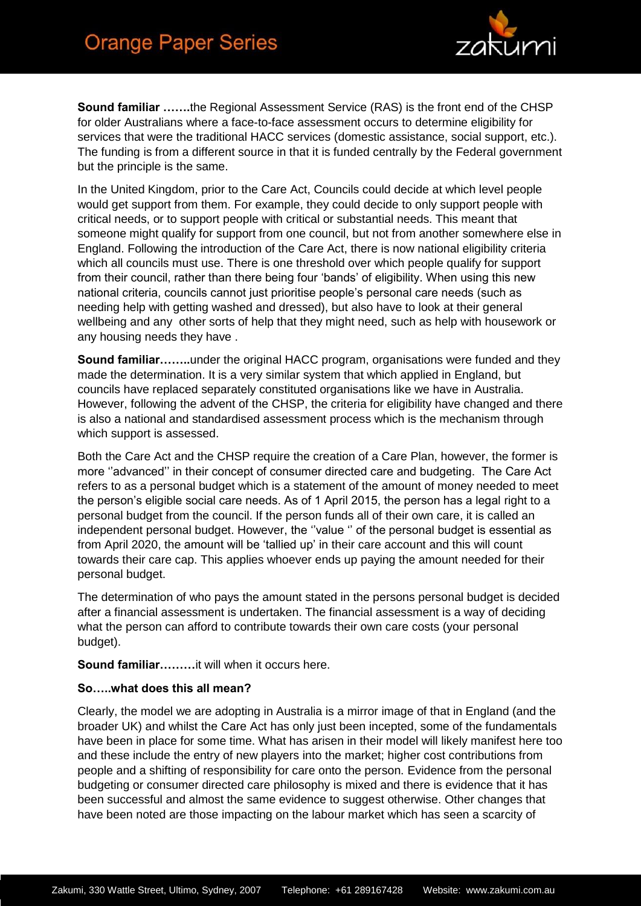

**Sound familiar …….**the Regional Assessment Service (RAS) is the front end of the CHSP for older Australians where a face-to-face assessment occurs to determine eligibility for services that were the traditional HACC services (domestic assistance, social support, etc.). The funding is from a different source in that it is funded centrally by the Federal government but the principle is the same.

In the United Kingdom, prior to the Care Act, Councils could decide at which level people would get support from them. For example, they could decide to only support people with critical needs, or to support people with critical or substantial needs. This meant that someone might qualify for support from one council, but not from another somewhere else in England. Following the introduction of the Care Act, there is now national eligibility criteria which all councils must use. There is one threshold over which people qualify for support from their council, rather than there being four 'bands' of eligibility. When using this new national criteria, councils cannot just prioritise people's personal care needs (such as needing help with getting washed and dressed), but also have to look at their general wellbeing and any other sorts of help that they might need, such as help with housework or any housing needs they have .

**Sound familiar……..**under the original HACC program, organisations were funded and they made the determination. It is a very similar system that which applied in England, but councils have replaced separately constituted organisations like we have in Australia. However, following the advent of the CHSP, the criteria for eligibility have changed and there is also a national and standardised assessment process which is the mechanism through which support is assessed.

Both the Care Act and the CHSP require the creation of a Care Plan, however, the former is more ''advanced'' in their concept of consumer directed care and budgeting. The Care Act refers to as a personal budget which is a statement of the amount of money needed to meet the person's eligible social care needs. As of 1 April 2015, the person has a legal right to a personal budget from the council. If the person funds all of their own care, it is called an independent personal budget. However, the ''value '' of the personal budget is essential as from April 2020, the amount will be 'tallied up' in their care account and this will count towards their care cap. This applies whoever ends up paying the amount needed for their personal budget.

The determination of who pays the amount stated in the persons personal budget is decided after a financial assessment is undertaken. The financial assessment is a way of deciding what the person can afford to contribute towards their own care costs (your personal budget).

**Sound familiar………**it will when it occurs here.

### **So…..what does this all mean?**

Clearly, the model we are adopting in Australia is a mirror image of that in England (and the broader UK) and whilst the Care Act has only just been incepted, some of the fundamentals have been in place for some time. What has arisen in their model will likely manifest here too and these include the entry of new players into the market; higher cost contributions from people and a shifting of responsibility for care onto the person. Evidence from the personal budgeting or consumer directed care philosophy is mixed and there is evidence that it has been successful and almost the same evidence to suggest otherwise. Other changes that have been noted are those impacting on the labour market which has seen a scarcity of